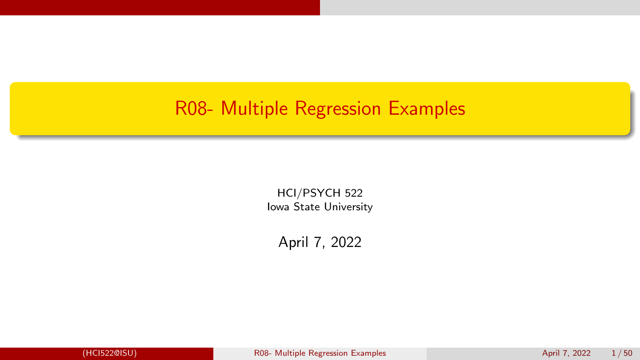# <span id="page-0-0"></span>R08- Multiple Regression Examples

HCI/PSYCH 522 Iowa State University

April 7, 2022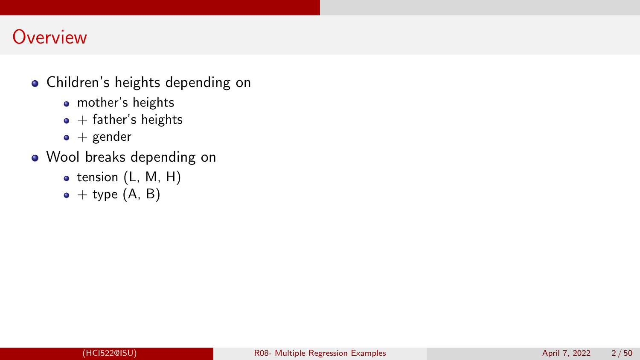# **Overview**

- Children's heights depending on
	- mother's heights
	- $\bullet$  + father's heights
	- $\bullet$  + gender
- Wool breaks depending on
	- $\bullet$  tension (L, M, H)
	- $\bullet$  + type  $(A, B)$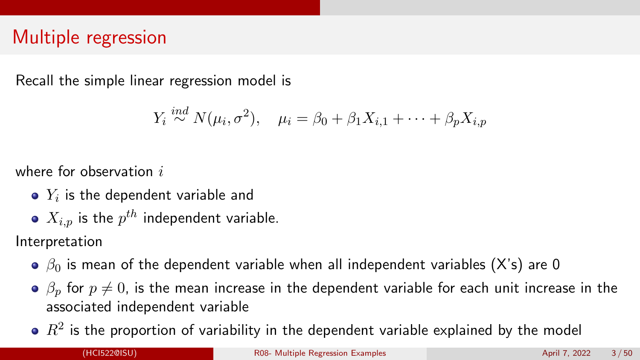# Multiple regression

Recall the simple linear regression model is

$$
Y_i \stackrel{ind}{\sim} N(\mu_i, \sigma^2), \quad \mu_i = \beta_0 + \beta_1 X_{i,1} + \cdots + \beta_p X_{i,p}
$$

where for observation  $i$ 

- $Y_i$  is the dependent variable and
- $X_{i,p}$  is the  $p^{th}$  independent variable.

Interpretation

- $\theta$ <sub>0</sub> is mean of the dependent variable when all independent variables (X's) are 0
- $\theta$   $\beta$ <sub>p</sub> for  $p \neq 0$ , is the mean increase in the dependent variable for each unit increase in the associated independent variable
- $\mathbb{R}^2$  is the proportion of variability in the dependent variable explained by the model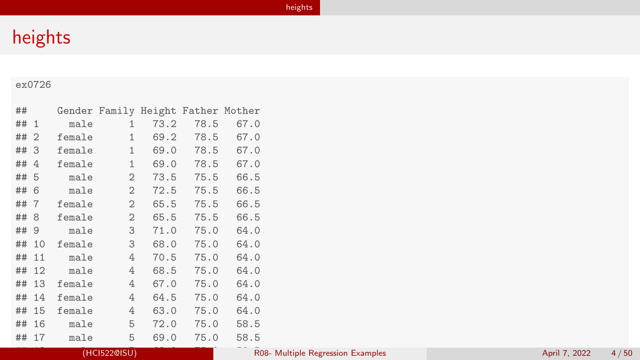# <span id="page-3-0"></span>heights

### ex0726

| ##       |        |                | Gender Family Height Father Mother |      |      |
|----------|--------|----------------|------------------------------------|------|------|
| ##<br>-1 | male   | 1              | 73.2                               | 78.5 | 67.0 |
| ## 2     | female | 1              | 69.2                               | 78.5 | 67.0 |
| ## 3     | female | 1              | 69.0                               | 78.5 | 67.0 |
| 4<br>##  | female | 1              | 69.0                               | 78.5 | 67.0 |
| ##<br>-5 | male   | $\overline{2}$ | 73.5                               | 75.5 | 66.5 |
| -6<br>## | male   | $\overline{2}$ | 72.5                               | 75.5 | 66.5 |
| ##<br>-7 | female | 2              | 65.5                               | 75.5 | 66.5 |
| ##<br>-8 | female | $\mathfrak{D}$ | 65.5                               | 75.5 | 66.5 |
| ## 9     | male   | 3              | 71.0                               | 75.0 | 64.0 |
| ## 10    | female | 3              | 68.0                               | 75.0 | 64.0 |
| 11<br>## | male   | 4              | 70.5                               | 75.0 | 64.0 |
| 12<br>## | male   | 4              | 68.5                               | 75.0 | 64.0 |
| 13<br>## | female | 4              | 67.0                               | 75.0 | 64.0 |
| 14<br>## | female | 4              | 64.5                               | 75.0 | 64.0 |
| 15<br>## | female | 4              | 63.0                               | 75.0 | 64.0 |
| 16<br>## | male   | 5              | 72.0                               | 75.0 | 58.5 |
| 17<br>## | male   | 5              | 69.0                               | 75.0 | 58.5 |

 $H_{\rm eff}$  for  $56.5$   $\pm$   $0.5$   $\pm$   $0.5$   $\pm$   $0.5$   $\pm$   $0.5$   $\pm$   $0.5$   $\pm$   $0.5$   $\pm$   $0.5$   $\pm$   $0.5$   $\pm$   $0.5$   $\pm$   $0.5$   $\pm$   $0.5$   $\pm$   $0.5$   $\pm$   $0.5$   $\pm$   $0.5$   $\pm$   $0.5$   $\pm$   $0.5$   $\pm$   $0.5$   $\pm$   $0.5$   $\pm$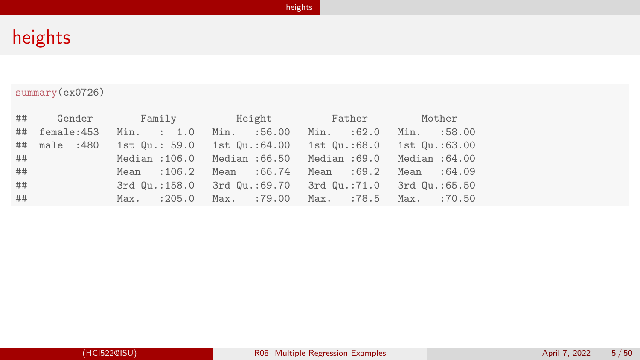### summary(ex0726)

| ## | Gender     |                 | Family Height                | Father                                   | Mother         |
|----|------------|-----------------|------------------------------|------------------------------------------|----------------|
| ## | female:453 | Min. : 1.0      | Min. :56.00                  | Min. :62.0                               | Min. :58.00    |
| ## | male :480  | 1st $Qu.: 59.0$ | 1st Qu.:64.00                | 1st Qu.:68.0                             | 1st Qu.:63.00  |
| ## |            | Median : 106.0  | Median : 66.50 Median : 69.0 |                                          | Median : 64.00 |
| ## |            | Mean : 106.2    | Mean : 66.74                 | Mean : 69.2                              | Mean : 64.09   |
| ## |            | 3rd Qu.:158.0   |                              | 3rd Qu.:69.70 3rd Qu.:71.0 3rd Qu.:65.50 |                |
| ## |            | $Max.$ : 205.0  | Max. :79.00                  | Max. :78.5                               | $Max.$ :70.50  |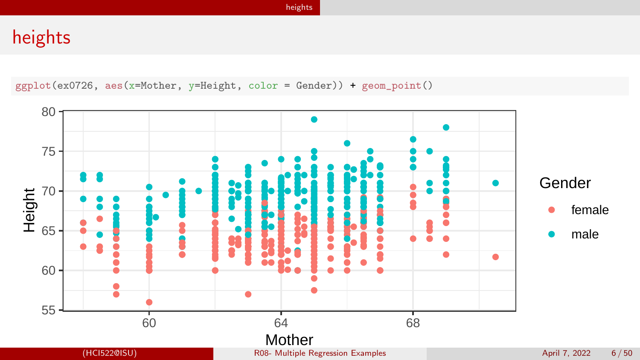# heights

ggplot(ex0726, aes(x=Mother, y=Height, color = Gender)) + geom\_point()

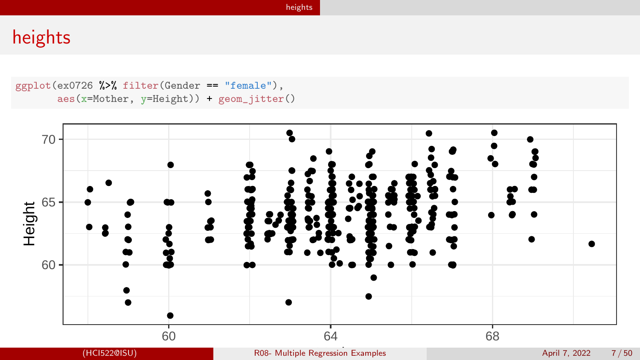```
ggplot(ex0726 %>% filter(Gender == "female"),
       aes(x=Mother, y=Height)) + geom_jitter()
```
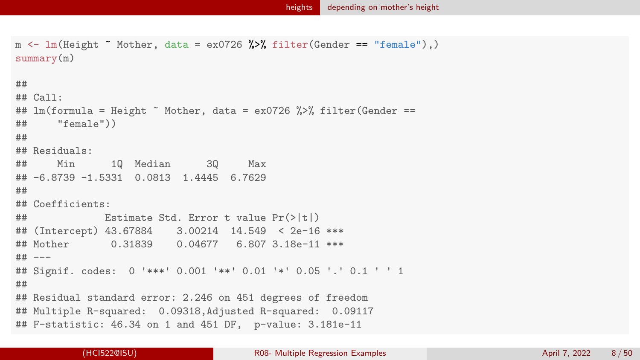```
m \leftarrow \text{lm}(\text{Height} \sim \text{Mother}, \text{ data} = \text{ex0726 %} \text{N} \cdot \text{filter}(\text{Generator} == \text{``female''}),summary(m)
##
## Call:
## lm(formula = Height "Mother, data = ex0726 % filter(Gender ==
## "female"))
##
## Residuals:
## Min 1Q Median 3Q Max
## -6.8739 -1.5331 0.0813 1.4445 6.7629
##
## Coefficients:
## Estimate Std. Error t value Pr(>|t|)
## (Intercept) 43.67884 3.00214 14.549 < 2e-16 ***
## Mother 0.31839 0.04677 6.807 3.18e-11 ***
## ---
## Signif. codes: 0 '***' 0.001 '**' 0.01 '*' 0.05 '.' 0.1 ' ' 1
##
## Residual standard error: 2.246 on 451 degrees of freedom
## Multiple R-squared: 0.09318,Adjusted R-squared: 0.09117
## F-statistic: 46.34 on 1 and 451 DF, p-value: 3.181e-11
```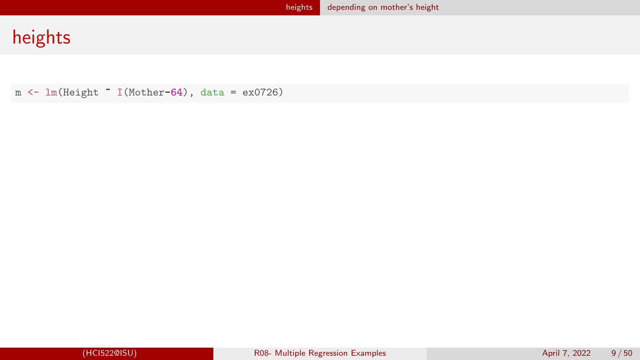$m \leftarrow \text{lm}(\text{Height} \sim \text{I}(\text{Mother-64}), \text{ data} = \text{ex0726})$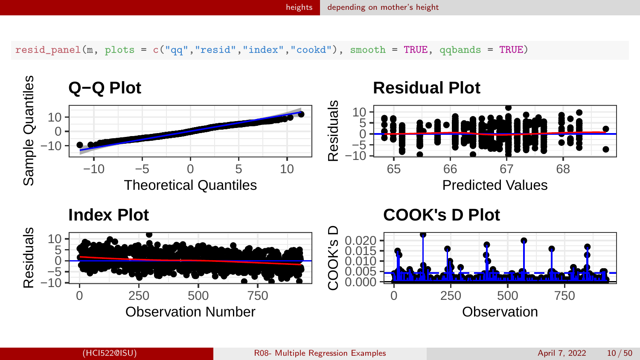$resid\_panel(m, plots = c("qq", "resid", "index", "cookd"), smooth = TRUE, qabands = TRUE)$ 

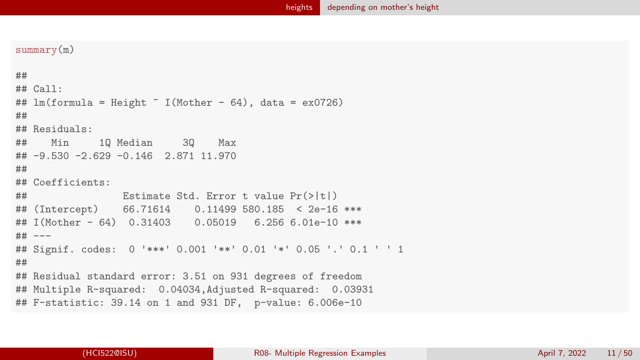```
summary(m)
```

```
##
## Call:
## lm(formula = Height " I(Mother - 64), data = ex0726)##
## Residuals:
## Min 1Q Median 3Q Max
## -9.530 -2.629 -0.146 2.871 11.970
##
## Coefficients:
## Estimate Std. Error t value Pr(>|t|)
## (Intercept) 66.71614 0.11499 580.185 < 2e-16 ***
## I(Mother - 64) 0.31403 0.05019 6.256 6.01e-10 ***
## ---
## Signif. codes: 0 '***' 0.001 '**' 0.01 '*' 0.05 '.' 0.1 ' ' 1
##
## Residual standard error: 3.51 on 931 degrees of freedom
## Multiple R-squared: 0.04034,Adjusted R-squared: 0.03931
## F-statistic: 39.14 on 1 and 931 DF, p-value: 6.006e-10
```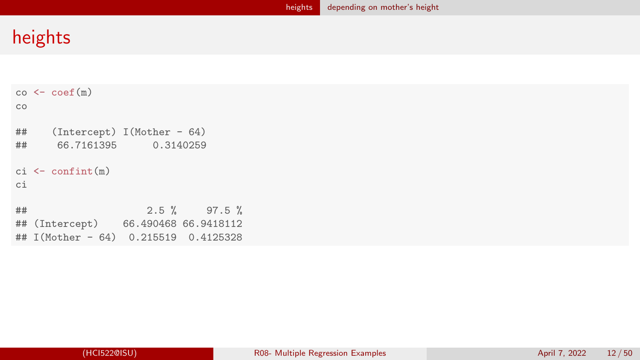```
co < - \text{coeff}(m)co
## (Intercept) I(Mother - 64)
      66.7161395
ci <- confint(m)
ci
## 2.5 % 97.5 %
  (Intercept) 66.490468 66.9418112
## I(Mother - 64) 0.215519 0.4125328
```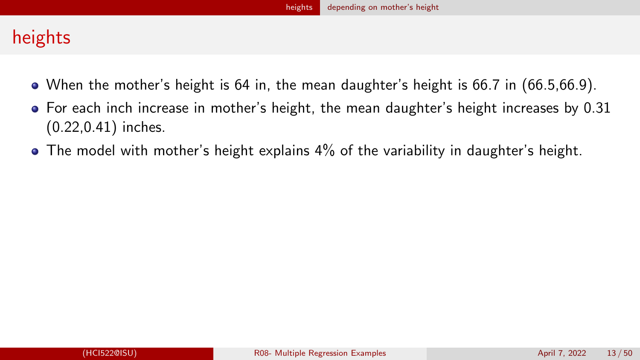- When the mother's height is 64 in, the mean daughter's height is 66.7 in (66.5,66.9).
- For each inch increase in mother's height, the mean daughter's height increases by 0.31 (0.22,0.41) inches.
- The model with mother's height explains 4% of the variability in daughter's height.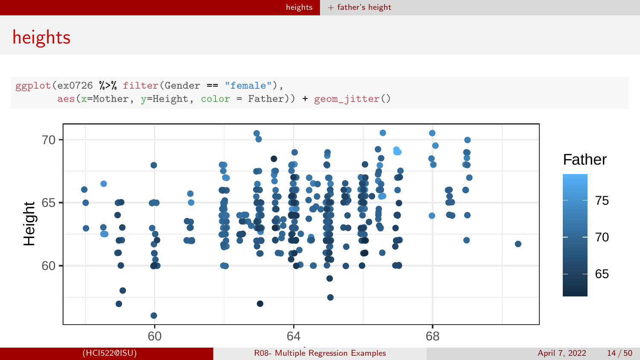```
ggplot(ex0726 %>% filter(Gender == "female"),
       aes(x=Mother, y=Height, color = Father)) + geom_jitter()
```
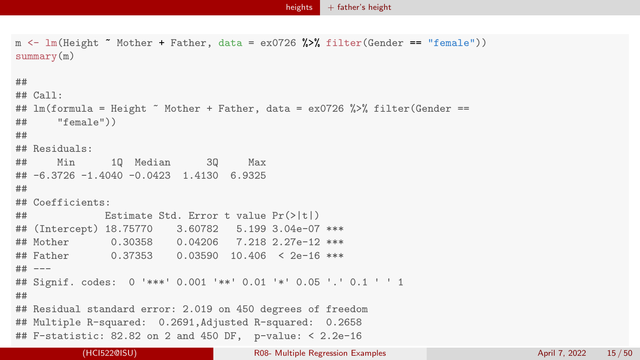```
m \leftarrow \text{lm}(\text{Height} \sim \text{Mother} + \text{Father}, \text{data} = \text{ex0726} \text{ %} \text{ filter}(\text{Gender} == \text{``female''}))summary(m)
##
## Call:
## lm(formula = Height ~ Mother + Father, data = ex0726 %>% filter(Gender ==
## "female"))
##
## Residuals:
## Min 1Q Median 3Q Max
## -6.3726 -1.4040 -0.0423 1.4130 6.9325
##
## Coefficients:
## Estimate Std. Error t value Pr(>|t|)
## (Intercept) 18.75770 3.60782 5.199 3.04e-07 ***
## Mother 0.30358 0.04206 7.218 2.27e-12 ***
## Father 0.37353 0.03590 10.406 < 2e-16 ***
## ---
## Signif. codes: 0 '***' 0.001 '**' 0.01 '*' 0.05 '.' 0.1 ' ' 1
##
## Residual standard error: 2.019 on 450 degrees of freedom
## Multiple R-squared: 0.2691,Adjusted R-squared: 0.2658
## F-statistic: 82.82 on 2 and 450 DF, p-value: < 2.2e-16
```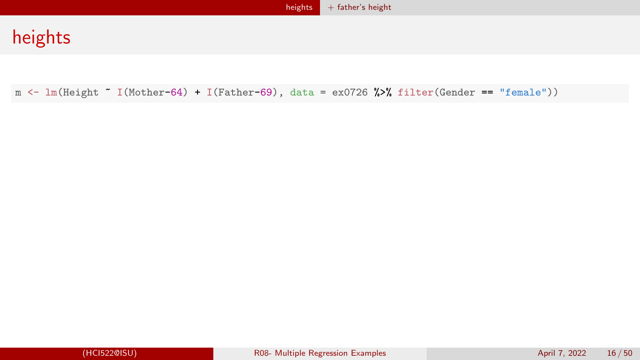$m \leftarrow \text{lm}(\text{Height } \tilde{ } 1(\text{Mother-64}) + \text{I}(\text{Father-69}), \text{ data } = \text{ex0726 %} \text{% filter}(\text{Gender } == \text{ "female"))})$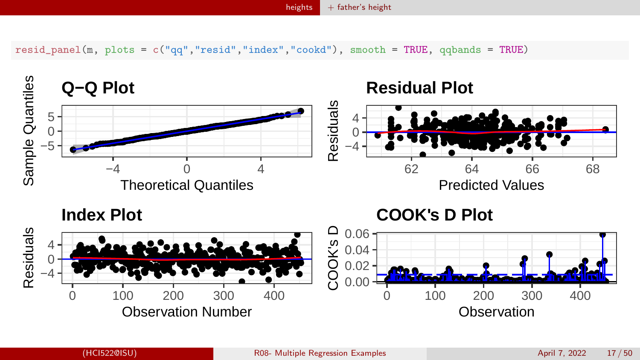$hei$ ghts [+ father's height](#page-13-0)

 $resid\_panel(m, plots = c("qq", "resid", "index", "cookd"), smooth = TRUE, qabands = TRUE)$ 

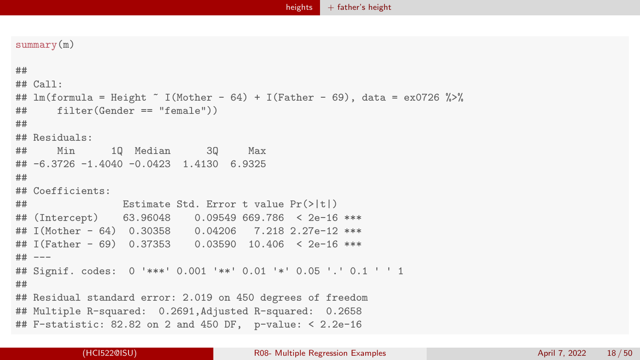```
summary(m)
```

```
##
## Call:
## lm(formula = Height " I(Mother - 64) + I(Father - 69), data = ex0726 %>%
## filter(Gender == "female"))
##
## Residuals:
## Min 1Q Median 3Q Max
## -6.3726 -1.4040 -0.0423 1.4130 6.9325
##
## Coefficients:
## Estimate Std. Error t value Pr(>|t|)
## (Intercept) 63.96048 0.09549 669.786 < 2e-16 ***
## I(Mother - 64) 0.30358 0.04206 7.218 2.27e-12 ***
## I(Father - 69) 0.37353 0.03590 10.406 < 2e-16 ***
## ---
## Signif. codes: 0 '***' 0.001 '**' 0.01 '*' 0.05 '.' 0.1 ' ' 1
##
## Residual standard error: 2.019 on 450 degrees of freedom
## Multiple R-squared: 0.2691,Adjusted R-squared: 0.2658
## F-statistic: 82.82 on 2 and 450 DF, p-value: < 2.2e-16
```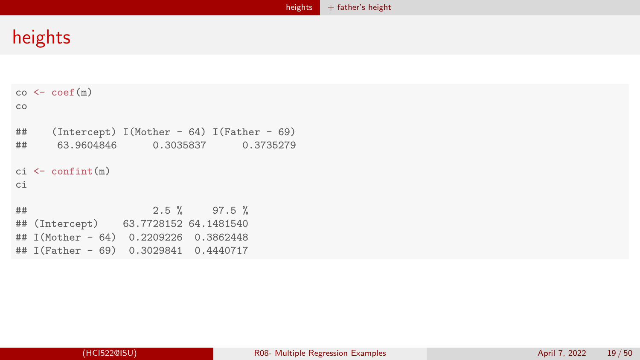```
co < - \text{coeff}(m)co
## (Intercept) I(Mother - 64) I(Father - 69)
      63.9604846 0.3035837 0.3735279
ci <- confint(m)
ci
## 2.5 % 97.5 %
  (Intercept) 63.7728152 64.1481540
## I(Mother - 64) 0.2209226 0.3862448
## I(Father - 69) 0.3029841 0.4440717
```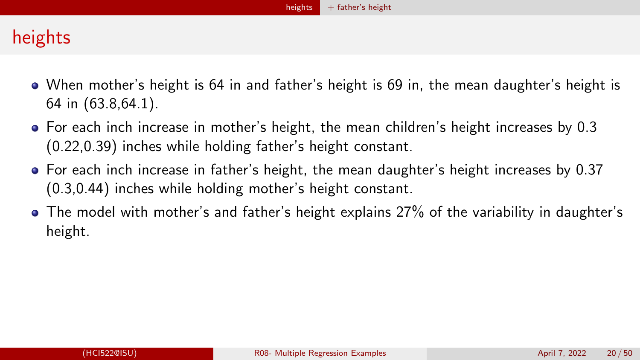- When mother's height is 64 in and father's height is 69 in, the mean daughter's height is 64 in (63.8,64.1).
- For each inch increase in mother's height, the mean children's height increases by 0.3 (0.22,0.39) inches while holding father's height constant.
- For each inch increase in father's height, the mean daughter's height increases by 0.37 (0.3,0.44) inches while holding mother's height constant.
- The model with mother's and father's height explains 27% of the variability in daughter's height.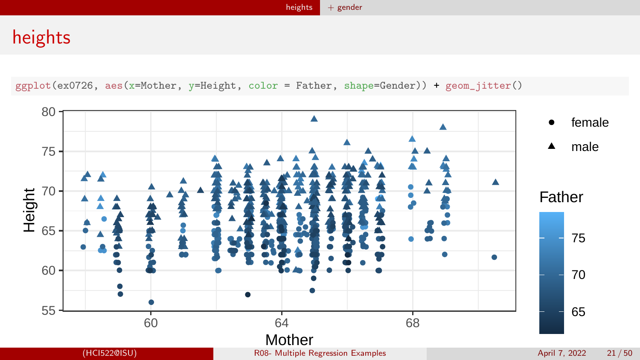[heights](#page-3-0)  $+$  gender

# <span id="page-20-0"></span>heights

ggplot(ex0726, aes(x=Mother, y=Height, color = Father, shape=Gender)) + geom\_jitter()

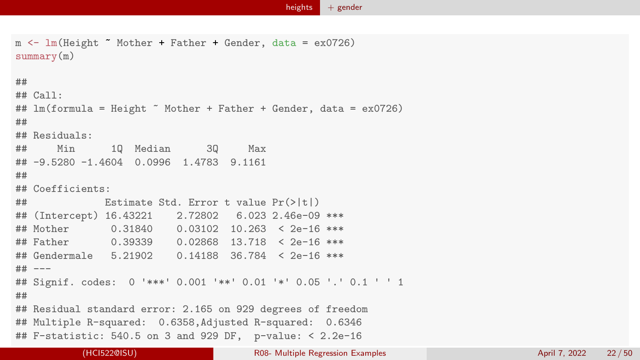```
m <- lm(Height ~ Mother + Father + Gender, data = ex0726)
summary(m)
##
## Call:
## lm(formula = Height ~ Mother + Father + Gender, data = ex0726)
##
## Residuals:
## Min 1Q Median 3Q Max
## -9.5280 -1.4604 0.0996 1.4783 9.1161
##
## Coefficients:
## Estimate Std. Error t value Pr(>|t|)
## (Intercept) 16.43221 2.72802 6.023 2.46e-09 ***
## Mother 0.31840 0.03102 10.263 < 2e-16 ***
## Father 0.39339 0.02868 13.718 < 2e-16 ***
## Gendermale 5.21902 0.14188 36.784 < 2e-16 ***
## ---
## Signif. codes: 0 '***' 0.001 '**' 0.01 '*' 0.05 '.' 0.1 ' ' 1
##
## Residual standard error: 2.165 on 929 degrees of freedom
## Multiple R-squared: 0.6358,Adjusted R-squared: 0.6346
## F-statistic: 540.5 on 3 and 929 DF, p-value: < 2.2e-16
```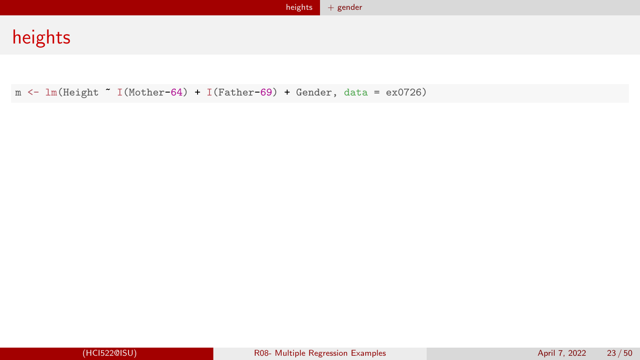m <- lm(Height ~ I(Mother-64) + I(Father-69) + Gender, data = ex0726)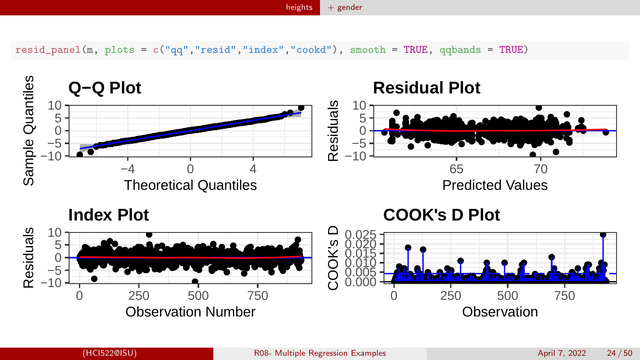[heights](#page-3-0)  $+$  gender

resid\_panel(m, plots = c("qq","resid","index","cookd"), smooth = TRUE, qqbands = TRUE)

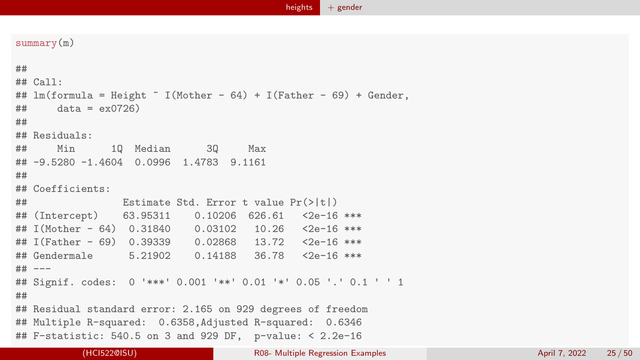```
summary(m)
##
## Call\cdot## lm(formula = Height " I(Mother - 64) + I(Father - 69) + gender,## data = exp(726)##
## Residuals:
## Min 1Q Median 3Q Max
## -9.5280 -1.4604 0.0996 1.4783 9.1161
##
## Coefficients:
## Estimate Std. Error t value Pr(>|t|)
## (Intercept) 63.95311 0.10206 626.61 <2e-16 ***
## I(Mother - 64) 0.31840 0.03102 10.26 <2e-16 ***
## I(Father - 69) 0.39339 0.02868 13.72 <2e-16 ***
## Gendermale 5.21902 0.14188 36.78 <2e-16 ***
## ---
## Signif. codes: 0 '***' 0.001 '**' 0.01 '*' 0.05 '.' 0.1 ' ' 1
##
## Residual standard error: 2.165 on 929 degrees of freedom
## Multiple R-squared: 0.6358,Adjusted R-squared: 0.6346
## F-statistic: 540.5 on 3 and 929 DF, p-value: < 2.2e-16
```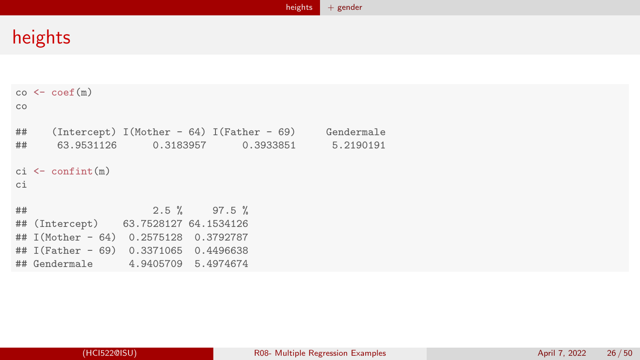```
co < - \text{coeff}(m)co
## (Intercept) I(Mother - 64) I(Father - 69) Gendermale
## 63.9531126 0.3183957 0.3933851 5.2190191
ci <- confint(m)
ci
## 2.5 % 97.5 %
  (Intercept) 63.7528127 64.1534126
## I(Mother - 64) 0.2575128 0.3792787
## I(Father - 69) 0.3371065 0.4496638
## Gendermale 4.9405709 5.4974674
```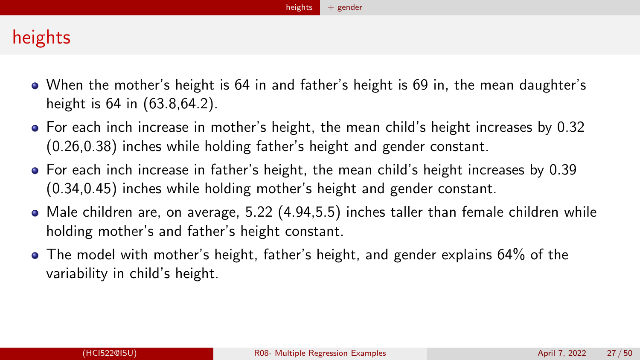- When the mother's height is 64 in and father's height is 69 in, the mean daughter's height is 64 in (63.8,64.2).
- For each inch increase in mother's height, the mean child's height increases by 0.32 (0.26,0.38) inches while holding father's height and gender constant.
- For each inch increase in father's height, the mean child's height increases by 0.39 (0.34,0.45) inches while holding mother's height and gender constant.
- Male children are, on average, 5.22 (4.94,5.5) inches taller than female children while holding mother's and father's height constant.
- The model with mother's height, father's height, and gender explains 64% of the variability in child's height.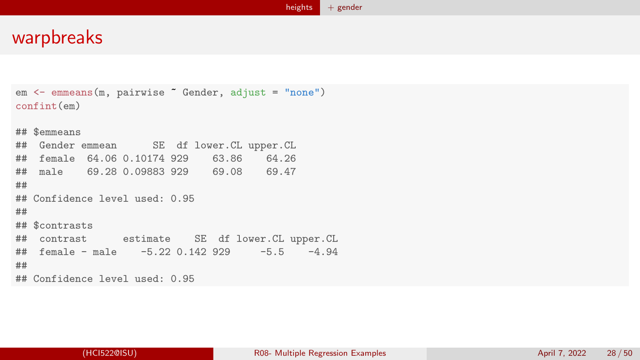```
em <- emmeans(m, pairwise ~ Gender, adjust = "none")
confint(em)
## $emmeans
## Gender emmean SE df lower.CL upper.CL
## female 64.06 0.10174 929 63.86 64.26
## male 69.28 0.09883 929 69.08 69.47
##
## Confidence level used: 0.95
##
## $contrasts
## contrast estimate SE df lower.CL upper.CL
## female - male -5.22 0.142 929 -5.5 -4.94##
## Confidence level used: 0.95
```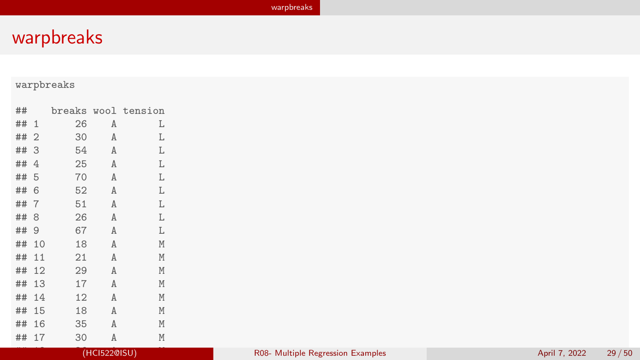<span id="page-28-0"></span>

| ##    |    |              | breaks wool tension |
|-------|----|--------------|---------------------|
| ## 1  | 26 | Α            | L                   |
| ## 2  | 30 | A            | L                   |
| ## 3  | 54 | A            | L                   |
| ## 4  | 25 | $\mathbf{A}$ | L                   |
| ## 5  | 70 | A            | L                   |
| ## 6  | 52 | A            | L                   |
| ## 7  | 51 | A            | L                   |
| ## 8  | 26 | A            | L                   |
| ## 9  | 67 | A            | L                   |
| ## 10 | 18 | A            | M                   |
| ## 11 | 21 | A            | M                   |
| ## 12 | 29 | A            | M                   |
| ## 13 | 17 | A            | M                   |
| ## 14 | 12 | A            | M                   |
| ## 15 | 18 | A            | M                   |
| ## 16 | 35 | A            | M                   |
| ## 17 | 30 | A            | M                   |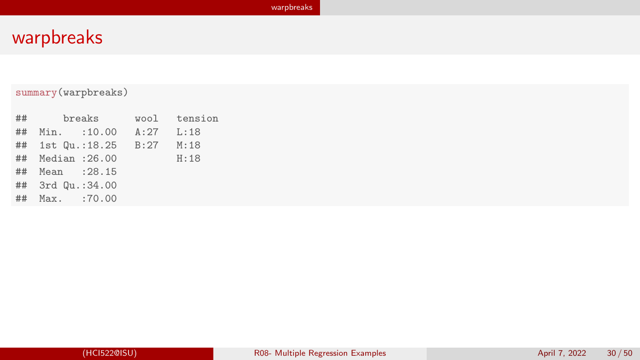### summary(warpbreaks)

| $\#$ #<br>breaks           | wool tension |
|----------------------------|--------------|
| ## Min. :10.00 A:27 L:18   |              |
| ## 1st Qu.:18.25 B:27 M:18 |              |
| ## Median : 26.00          | H:18         |
| ## Mean : 28.15            |              |
| ## 3rd Qu.:34.00           |              |
| ## Max. :70.00             |              |
|                            |              |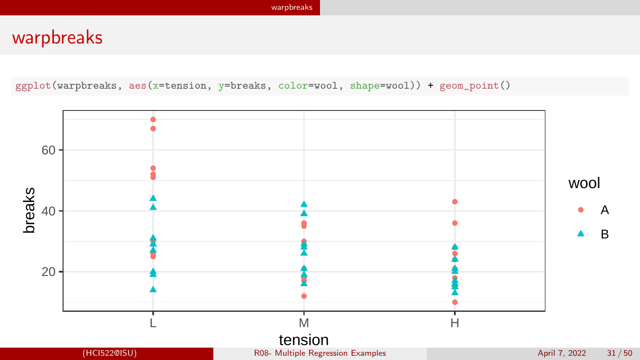ggplot(warpbreaks, aes(x=tension, y=breaks, color=wool, shape=wool)) + geom\_point()

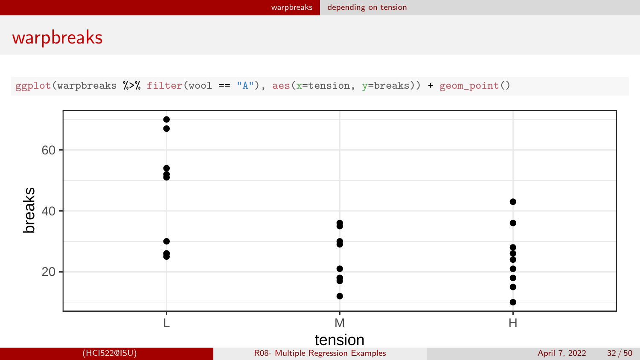<span id="page-31-0"></span> $ggplot(warphere)$   $\frac{1}{2}$   $\frac{1}{2}$   $\frac{1}{2}$   $\frac{1}{2}$   $\frac{1}{2}$   $\frac{1}{2}$   $\frac{1}{2}$   $\frac{1}{2}$   $\frac{1}{2}$   $\frac{1}{2}$   $\frac{1}{2}$   $\frac{1}{2}$   $\frac{1}{2}$   $\frac{1}{2}$   $\frac{1}{2}$   $\frac{1}{2}$   $\frac{1}{2}$   $\frac{1}{2}$   $\frac{1}{2}$   $\frac{1}{2}$   $\frac{1}{2}$   $\$ 

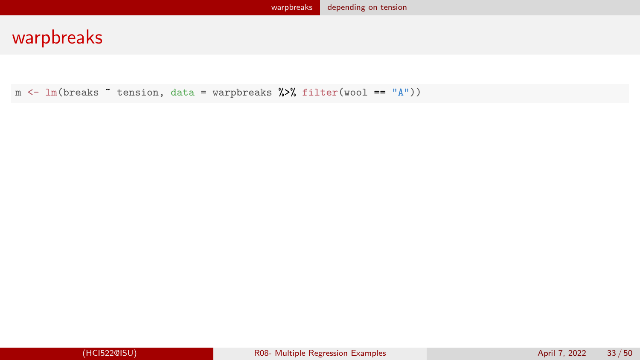$m \leftarrow \text{lm(breaks "tension, data = warphreaks %)}$ filter(wool == "A"))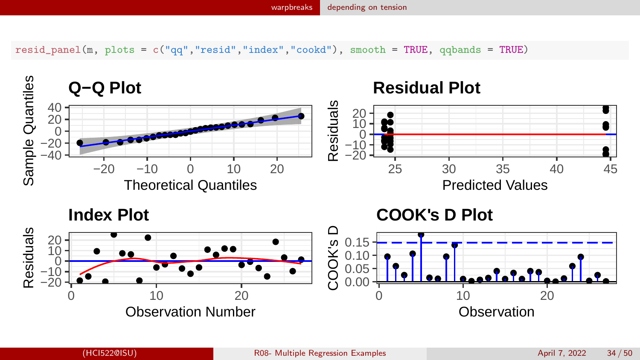resid\_panel(m, plots = c("qq","resid","index","cookd"), smooth = TRUE, qqbands = TRUE)

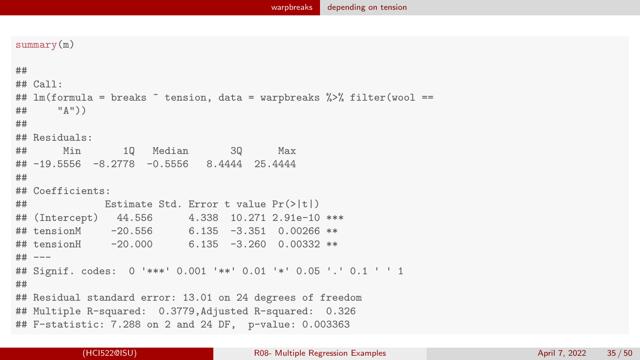```
summary(m)
##
## Call:
## lm(formula = breaks " tension, data = warpbreaks %% filter(wool ==## " " " " "##
## Residuals:
## Min 1Q Median 3Q Max
## -19.5556 -8.2778 -0.5556 8.4444 25.4444
##
## Coefficients:
## Estimate Std. Error t value Pr(>|t|)
## (Intercept) 44.556 4.338 10.271 2.91e-10 ***
## tensionM -20.556 6.135 -3.351 0.00266 **
## tensionH -20.000 6.135 -3.260 0.00332 **
## ---
## Signif. codes: 0 '***' 0.001 '**' 0.01 '*' 0.05 '.' 0.1 ' ' 1
##
## Residual standard error: 13.01 on 24 degrees of freedom
## Multiple R-squared: 0.3779,Adjusted R-squared: 0.326
## F-statistic: 7.288 on 2 and 24 DF, p-value: 0.003363
```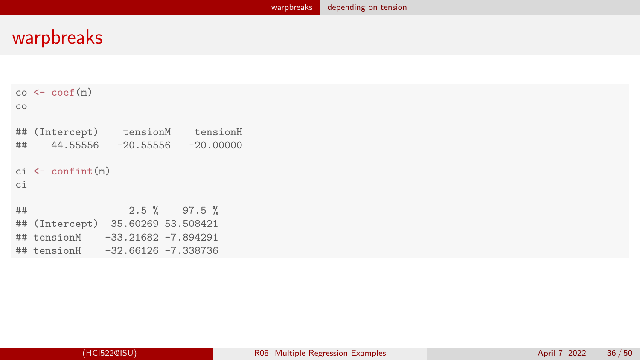```
co < - \text{coeff}(m)co
## (Intercept) tensionM tensionH
## 44.55556 -20.55556 -20.00000
ci <- confint(m)
ci
\# # 2.5 % 97.5 %<br>\## (Intercept) 35.60269 53.508421
## (Intercept) 35.60269 53.508421
               -33.21682 -7.894291## tensionH -32.66126 -7.338736
```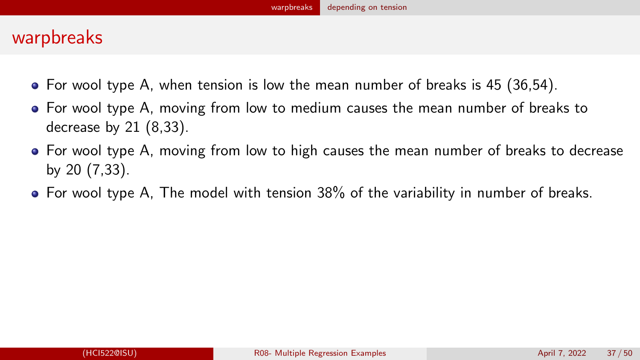- $\bullet$  For wool type A, when tension is low the mean number of breaks is 45 (36.54).
- For wool type A, moving from low to medium causes the mean number of breaks to decrease by 21 (8,33).
- For wool type A, moving from low to high causes the mean number of breaks to decrease by 20 (7,33).
- For wool type A, The model with tension 38% of the variability in number of breaks.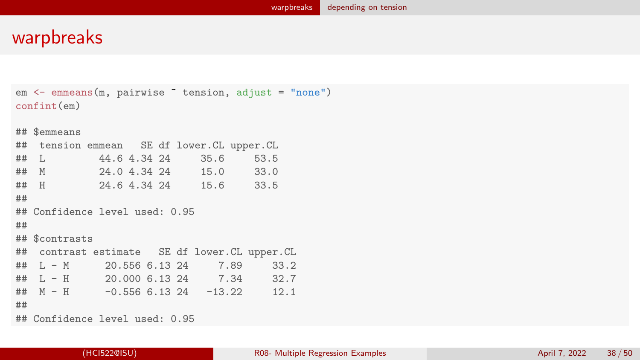```
em <- emmeans(m, pairwise ~ tension, adjust = "none")
confint(em)
## $emmeans
## tension emmean SE df lower.CL upper.CL
## L 44.6 4.34 24 35.6 53.5
## M 24.0 4.34 24 15.0 33.0
## H 24.6 4.34 24 15.6 33.5
##
## Confidence level used: 0.95
##
## $contrasts
## contrast estimate SE df lower.CL upper.CL
## L - M 20.556 6.13 24 7.89 33.2
## L - H 20.000 6.13 24 7.34 32.7
\## M - H -0.556 6.13 24 -13.22 12.1
##
## Confidence level used: 0.95
```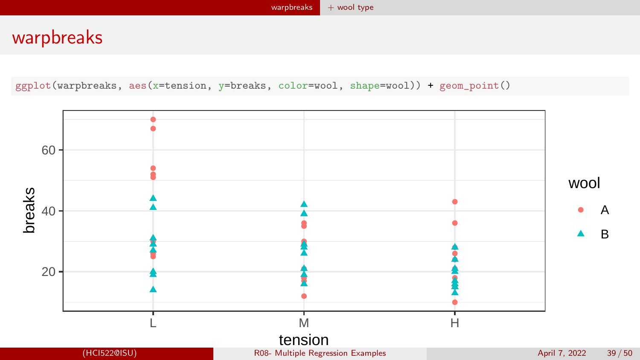<span id="page-38-0"></span>ggplot(warpbreaks, aes(x=tension, y=breaks, color=wool, shape=wool)) + geom\_point()

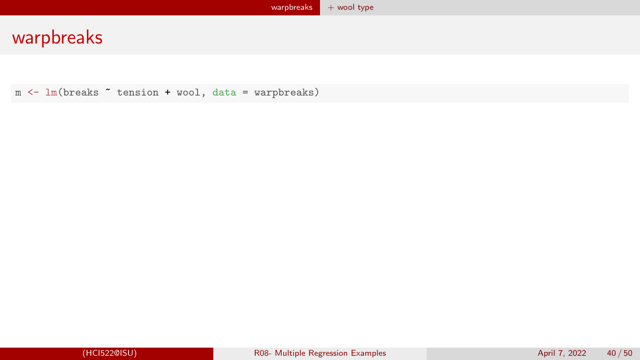m <- lm(breaks ~ tension + wool, data = warpbreaks)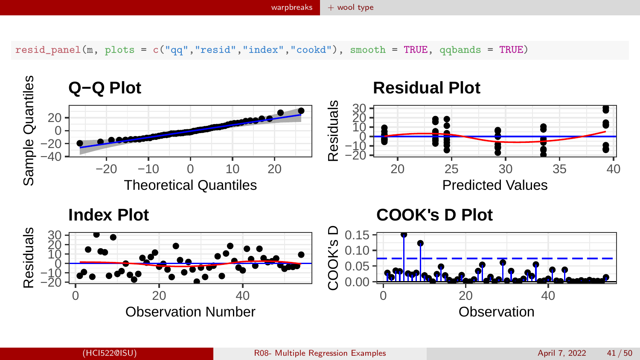resid\_panel(m, plots = c("qq","resid","index","cookd"), smooth = TRUE, qqbands = TRUE)

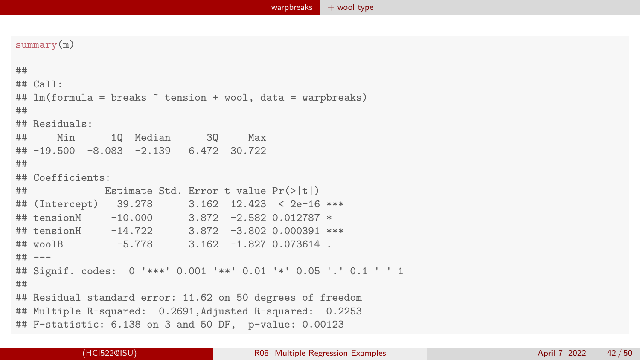```
summary(m)
##
## Call:
## lm(formula = breaks " tension + wool, data = warpbreaks)
##
## Residuals:
## Min 1Q Median 3Q Max
## -19.500 -8.083 -2.139 6.472 30.722
##
## Coefficients:
## Estimate Std. Error t value Pr(>|t|)
## (Intercept) 39.278 3.162 12.423 < 2e-16 ***
## tensionM -10.000 3.872 -2.582 0.012787 *
## tensionH -14.722 3.872 -3.802 0.000391 ***
## woolB -5.778 3.162 -1.827 0.073614 .
## ---
## Signif. codes: 0 '***' 0.001 '**' 0.01 '*' 0.05 '.' 0.1 ' ' 1
##
## Residual standard error: 11.62 on 50 degrees of freedom
## Multiple R-squared: 0.2691,Adjusted R-squared: 0.2253
## F-statistic: 6.138 on 3 and 50 DF, p-value: 0.00123
```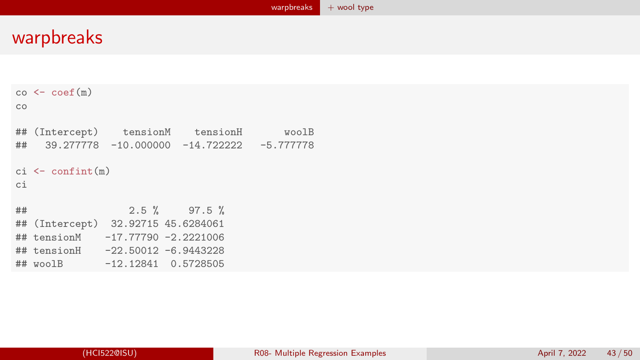```
co < - \text{coeff}(m)co
## (Intercept) tensionM tensionH woolB
## 39.277778 -10.000000 -14.722222 -5.777778
ci <- confint(m)
ci
## 2.5 % 97.5 %
  (Intercept) 32.92715 45.6284061
## tensionM -17.77790 -2.2221006
## tensionH -22.50012 -6.9443228
## woolB -12.12841 0.5728505
```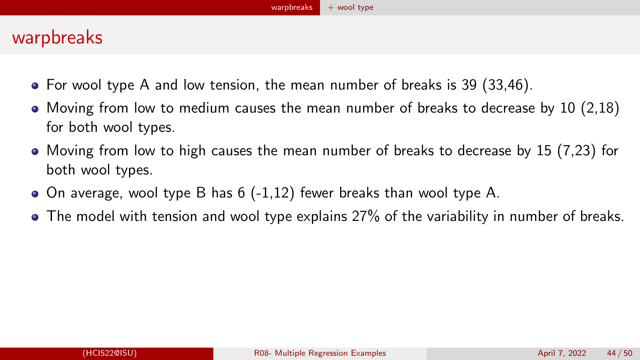- $\bullet$  For wool type A and low tension, the mean number of breaks is 39 (33.46).
- $\bullet$  Moving from low to medium causes the mean number of breaks to decrease by 10 (2.18) for both wool types.
- $\bullet$  Moving from low to high causes the mean number of breaks to decrease by 15 (7.23) for both wool types.
- $\bullet$  On average, wool type B has 6 (-1,12) fewer breaks than wool type A.
- The model with tension and wool type explains 27% of the variability in number of breaks.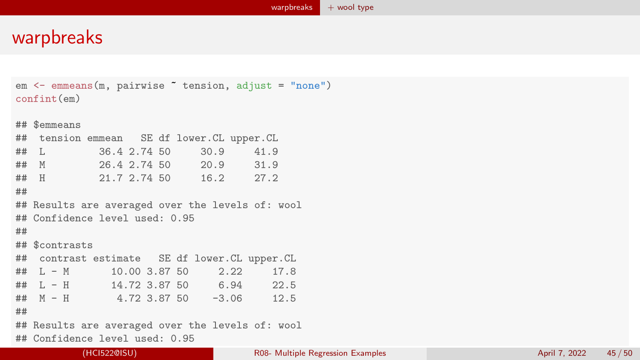```
em <- emmeans(m, pairwise ~ tension, adjust = "none")
confint(em)
## $emmeans
## tension emmean SE df lower.CL upper.CL
## L 36.4 2.74 50 30.9 41.9
## M 26.4 2.74 50 20.9 31.9
## H 21.7 2.74 50 16.2 27.2
##
## Results are averaged over the levels of: wool
## Confidence level used: 0.95
##
## $contrasts
## contrast estimate SE df lower.CL upper.CL
## L - M 10.00 3.87 50 2.22 17.8
## L - H 14.72 3.87 50 6.94 22.5
## M - H 4.72 3.87 50 -3.06 12.5
##
## Results are averaged over the levels of: wool
## Confidence level used: 0.95
```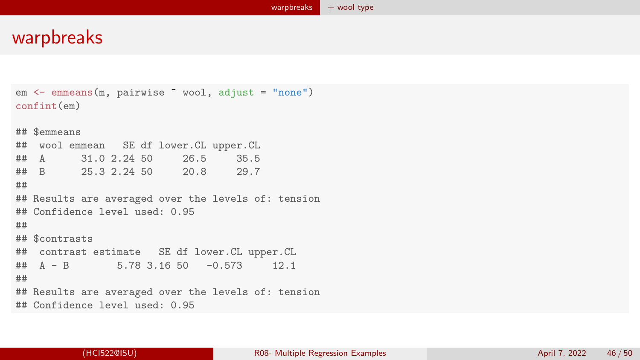```
em <- emmeans(m, pairwise ~ wool, adjust = "none")
confint(em)
## $emmeans
## wool emmean SE df lower.CL upper.CL
## A 31.0 2.24 50 26.5 35.5
## B 25.3 2.24 50 20.8 29.7
##
## Results are averaged over the levels of: tension
## Confidence level used: 0.95
##
## $contrasts
## contrast estimate SE df lower.CL upper.CL
## A - B 5.78 3.16 50 -0.573 12.1
##
## Results are averaged over the levels of: tension
## Confidence level used: 0.95
```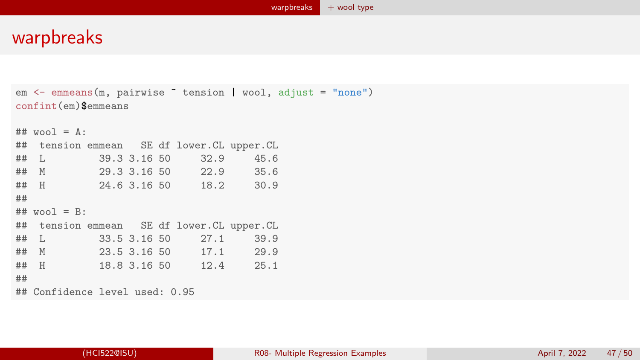```
em <- emmeans(m, pairwise ~ tension | wool, adjust = "none")
confint(em)$emmeans
## wool = \Lambda.
## tension emmean SE df lower.CL upper.CL
## L 39.3 3.16 50 32.9 45.6
## M 29.3 3.16 50 22.9 35.6
## H 24.6 3.16 50 18.2 30.9
##
## wool = B:## tension emmean SE df lower.CL upper.CL
## L 33.5 3.16 50 27.1 39.9
## M 23.5 3.16 50 17.1 29.9
## H 18.8 3.16 50 12.4 25.1
##
## Confidence level used: 0.95
```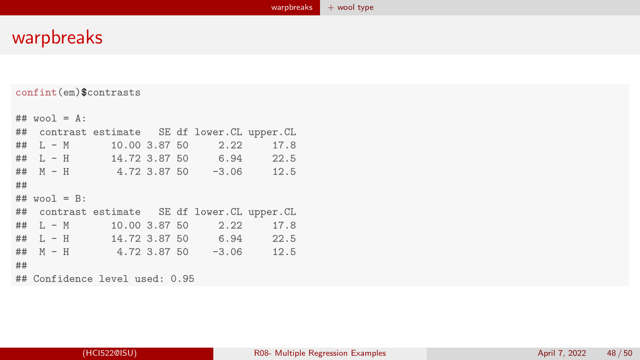confint(em)\$contrasts

|    | ## $wool = A$ :                                |                                           |  |                         |           |
|----|------------------------------------------------|-------------------------------------------|--|-------------------------|-----------|
|    | ## contrast estimate SE df lower. CL upper. CL |                                           |  |                         |           |
|    | $\#$ # L - M                                   | 10.00 3.87 50<br><b>Contract Contract</b> |  |                         | 2.22 17.8 |
|    | ## $L - H$ 14.72 3.87 50 6.94 22.5             |                                           |  |                         |           |
|    | ## $M - H$ 4.72 3.87 50 -3.06 12.5             |                                           |  |                         |           |
| ## |                                                |                                           |  |                         |           |
|    | $##$ wool = $B$ :                              |                                           |  |                         |           |
|    |                                                |                                           |  |                         |           |
|    | ## contrast estimate SE df lower. CL upper. CL |                                           |  |                         |           |
|    | $\#$ # L – M                                   |                                           |  | 10.00 3.87 50 2.22 17.8 |           |
|    | ## L - H $14.72$ 3.87 50 6.94 22.5             |                                           |  |                         |           |
|    | ## $M - H$ 4.72 3.87 50 -3.06 12.5             |                                           |  |                         |           |
| ## |                                                |                                           |  |                         |           |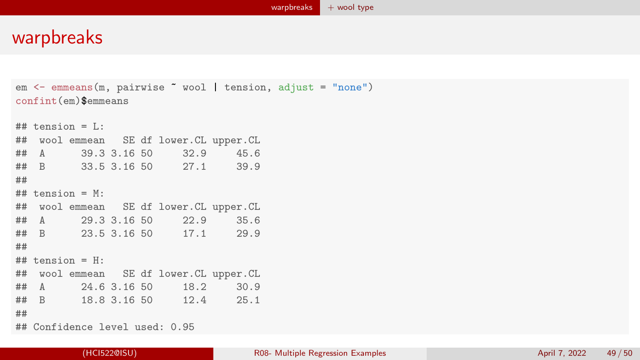```
em <- emmeans(m, pairwise ~ wool | tension, adjust = "none")
confint(em)$emmeans
## tension = L \cdot## wool emmean SE df lower.CL upper.CL
## A 39.3 3.16 50 32.9 45.6
## B 33.5 3.16 50 27.1 39.9
##
## tension = M:
## wool emmean SE df lower.CL upper.CL
## A 29.3 3.16 50 22.9 35.6
## B 23.5 3.16 50 17.1 29.9
##
## tension = H:
## wool emmean SE df lower.CL upper.CL
## A 24.6 3.16 50 18.2 30.9
## B 18.8 3.16 50 12.4 25.1
##
## Confidence level used: 0.95
```